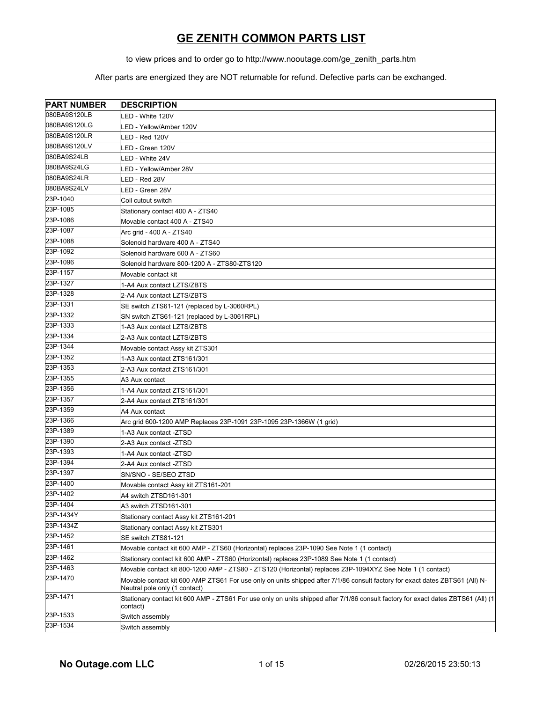to view prices and to order go to http://www.nooutage.com/ge\_zenith\_parts.htm

| <b>PART NUMBER</b> | <b>DESCRIPTION</b>                                                                                                                                            |
|--------------------|---------------------------------------------------------------------------------------------------------------------------------------------------------------|
| 080BA9S120LB       | LED - White 120V                                                                                                                                              |
| 080BA9S120LG       | LED - Yellow/Amber 120V                                                                                                                                       |
| 080BA9S120LR       | LED - Red 120V                                                                                                                                                |
| 080BA9S120LV       | LED - Green 120V                                                                                                                                              |
| 080BA9S24LB        | LED - White 24V                                                                                                                                               |
| 080BA9S24LG        | LED - Yellow/Amber 28V                                                                                                                                        |
| 080BA9S24LR        | LED - Red 28V                                                                                                                                                 |
| 080BA9S24LV        | LED - Green 28V                                                                                                                                               |
| 23P-1040           | Coil cutout switch                                                                                                                                            |
| 23P-1085           | Stationary contact 400 A - ZTS40                                                                                                                              |
| 23P-1086           | Movable contact 400 A - ZTS40                                                                                                                                 |
| 23P-1087           | Arc grid - 400 A - ZTS40                                                                                                                                      |
| 23P-1088           | Solenoid hardware 400 A - ZTS40                                                                                                                               |
| 23P-1092           | Solenoid hardware 600 A - ZTS60                                                                                                                               |
| 23P-1096           | Solenoid hardware 800-1200 A - ZTS80-ZTS120                                                                                                                   |
| 23P-1157           | Movable contact kit                                                                                                                                           |
| 23P-1327           | 1-A4 Aux contact LZTS/ZBTS                                                                                                                                    |
| 23P-1328           | 2-A4 Aux contact LZTS/ZBTS                                                                                                                                    |
| 23P-1331           | SE switch ZTS61-121 (replaced by L-3060RPL)                                                                                                                   |
| 23P-1332           | SN switch ZTS61-121 (replaced by L-3061RPL)                                                                                                                   |
| 23P-1333           | 1-A3 Aux contact LZTS/ZBTS                                                                                                                                    |
| 23P-1334           | 2-A3 Aux contact LZTS/ZBTS                                                                                                                                    |
| 23P-1344           | Movable contact Assy kit ZTS301                                                                                                                               |
| 23P-1352           | 1-A3 Aux contact ZTS161/301                                                                                                                                   |
| 23P-1353           | 2-A3 Aux contact ZTS161/301                                                                                                                                   |
| 23P-1355           | A3 Aux contact                                                                                                                                                |
| 23P-1356           | 1-A4 Aux contact ZTS161/301                                                                                                                                   |
| 23P-1357           | 2-A4 Aux contact ZTS161/301                                                                                                                                   |
| 23P-1359           | A4 Aux contact                                                                                                                                                |
| 23P-1366           | Arc grid 600-1200 AMP Replaces 23P-1091 23P-1095 23P-1366W (1 grid)                                                                                           |
| 23P-1389           | 1-A3 Aux contact -ZTSD                                                                                                                                        |
| 23P-1390           | 2-A3 Aux contact -ZTSD                                                                                                                                        |
| 23P-1393           | 1-A4 Aux contact -ZTSD                                                                                                                                        |
| 23P-1394           | 2-A4 Aux contact -ZTSD                                                                                                                                        |
| 23P-1397           | SN/SNO - SE/SEO ZTSD                                                                                                                                          |
| 23P-1400           | Movable contact Assy kit ZTS161-201                                                                                                                           |
| 23P-1402           | A4 switch ZTSD161-301                                                                                                                                         |
| 23P-1404           | A3 switch ZTSD161-301                                                                                                                                         |
| 23P-1434Y          | Stationary contact Assy kit ZTS161-201                                                                                                                        |
| 23P-1434Z          | Stationary contact Assy kit ZTS301                                                                                                                            |
| 23P-1452           | SE switch ZTS81-121                                                                                                                                           |
| 23P-1461           | Movable contact kit 600 AMP - ZTS60 (Horizontal) replaces 23P-1090 See Note 1 (1 contact)                                                                     |
| 23P-1462           | Stationary contact kit 600 AMP - ZTS60 (Horizontal) replaces 23P-1089 See Note 1 (1 contact)                                                                  |
| 23P-1463           | Movable contact kit 800-1200 AMP - ZTS80 - ZTS120 (Horizontal) replaces 23P-1094XYZ See Note 1 (1 contact)                                                    |
| 23P-1470           | Movable contact kit 600 AMP ZTS61 For use only on units shipped after 7/1/86 consult factory for exact dates ZBTS61 (All) N-<br>Neutral pole only (1 contact) |
| 23P-1471           | Stationary contact kit 600 AMP - ZTS61 For use only on units shipped after 7/1/86 consult factory for exact dates ZBTS61 (All) (1<br>contact)                 |
| 23P-1533           | Switch assembly                                                                                                                                               |
| 23P-1534           | Switch assembly                                                                                                                                               |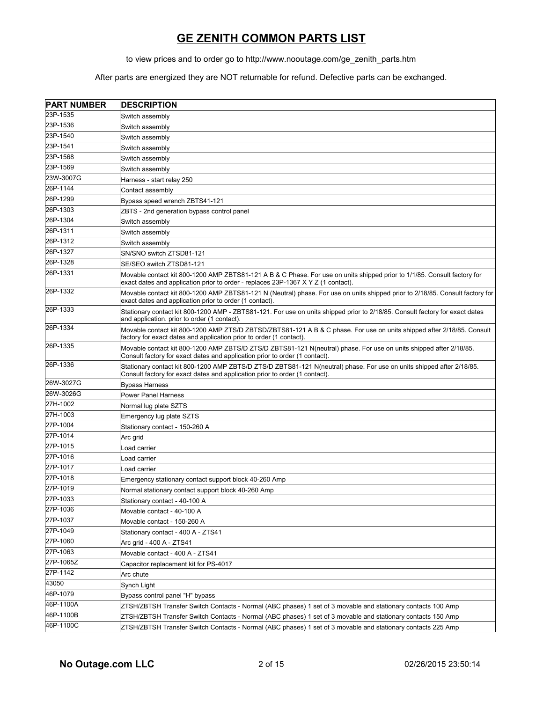to view prices and to order go to http://www.nooutage.com/ge\_zenith\_parts.htm

| <b>PART NUMBER</b> | <b>DESCRIPTION</b>                                                                                                                                                                                                  |
|--------------------|---------------------------------------------------------------------------------------------------------------------------------------------------------------------------------------------------------------------|
| 23P-1535           | Switch assembly                                                                                                                                                                                                     |
| 23P-1536           | Switch assembly                                                                                                                                                                                                     |
| 23P-1540           | Switch assembly                                                                                                                                                                                                     |
| 23P-1541           | Switch assembly                                                                                                                                                                                                     |
| 23P-1568           | Switch assembly                                                                                                                                                                                                     |
| 23P-1569           | Switch assembly                                                                                                                                                                                                     |
| 23W-3007G          | Harness - start relay 250                                                                                                                                                                                           |
| 26P-1144           | Contact assembly                                                                                                                                                                                                    |
| 26P-1299           | Bypass speed wrench ZBTS41-121                                                                                                                                                                                      |
| 26P-1303           | ZBTS - 2nd generation bypass control panel                                                                                                                                                                          |
| 26P-1304           | Switch assembly                                                                                                                                                                                                     |
| 26P-1311           | Switch assembly                                                                                                                                                                                                     |
| 26P-1312           | Switch assembly                                                                                                                                                                                                     |
| 26P-1327           | SN/SNO switch ZTSD81-121                                                                                                                                                                                            |
| 26P-1328           | SE/SEO switch ZTSD81-121                                                                                                                                                                                            |
| 26P-1331           | Movable contact kit 800-1200 AMP ZBTS81-121 A B & C Phase. For use on units shipped prior to 1/1/85. Consult factory for<br>exact dates and application prior to order - replaces $23P-1367 \times YZ$ (1 contact). |
| 26P-1332           | Movable contact kit 800-1200 AMP ZBTS81-121 N (Neutral) phase. For use on units shipped prior to 2/18/85. Consult factory for<br>exact dates and application prior to order (1 contact).                            |
| 26P-1333           | Stationary contact kit 800-1200 AMP - ZBTS81-121. For use on units shipped prior to 2/18/85. Consult factory for exact dates<br>and application. prior to order (1 contact).                                        |
| 26P-1334           | Movable contact kit 800-1200 AMP ZTS/D ZBTSD/ZBTS81-121 A B & C phase. For use on units shipped after 2/18/85. Consult<br>factory for exact dates and application prior to order (1 contact).                       |
| 26P-1335           | Movable contact kit 800-1200 AMP ZBTS/D ZTS/D ZBTS81-121 N(neutral) phase. For use on units shipped after 2/18/85.<br>Consult factory for exact dates and application prior to order (1 contact).                   |
| 26P-1336           | Stationary contact kit 800-1200 AMP ZBTS/D ZTS/D ZBTS81-121 N(neutral) phase. For use on units shipped after 2/18/85.<br>Consult factory for exact dates and application prior to order (1 contact).                |
| 26W-3027G          | <b>Bypass Harness</b>                                                                                                                                                                                               |
| 26W-3026G          | <b>Power Panel Harness</b>                                                                                                                                                                                          |
| 27H-1002           | Normal lug plate SZTS                                                                                                                                                                                               |
| 27H-1003           | Emergency lug plate SZTS                                                                                                                                                                                            |
| 27P-1004           | Stationary contact - 150-260 A                                                                                                                                                                                      |
| 27P-1014           | Arc grid                                                                                                                                                                                                            |
| 27P-1015           | Load carrier                                                                                                                                                                                                        |
| 27P-1016           | Load carrier                                                                                                                                                                                                        |
| 27P-1017           | Load carrier                                                                                                                                                                                                        |
| 27P-1018           | Emergency stationary contact support block 40-260 Amp                                                                                                                                                               |
| 27P-1019           | Normal stationary contact support block 40-260 Amp                                                                                                                                                                  |
| 27P-1033           | Stationary contact - 40-100 A                                                                                                                                                                                       |
| 27P-1036           | Movable contact - 40-100 A                                                                                                                                                                                          |
| 27P-1037           | Movable contact - 150-260 A                                                                                                                                                                                         |
| 27P-1049           | Stationary contact - 400 A - ZTS41                                                                                                                                                                                  |
| 27P-1060           | Arc grid - 400 A - ZTS41                                                                                                                                                                                            |
| 27P-1063           | Movable contact - 400 A - ZTS41                                                                                                                                                                                     |
| 27P-1065Z          | Capacitor replacement kit for PS-4017                                                                                                                                                                               |
| 27P-1142           | Arc chute                                                                                                                                                                                                           |
| 43050              | Synch Light                                                                                                                                                                                                         |
| 46P-1079           | Bypass control panel "H" bypass                                                                                                                                                                                     |
| 46P-1100A          | ZTSH/ZBTSH Transfer Switch Contacts - Normal (ABC phases) 1 set of 3 movable and stationary contacts 100 Amp                                                                                                        |
| 46P-1100B          | ZTSH/ZBTSH Transfer Switch Contacts - Normal (ABC phases) 1 set of 3 movable and stationary contacts 150 Amp                                                                                                        |
| 46P-1100C          | ZTSH/ZBTSH Transfer Switch Contacts - Normal (ABC phases) 1 set of 3 movable and stationary contacts 225 Amp                                                                                                        |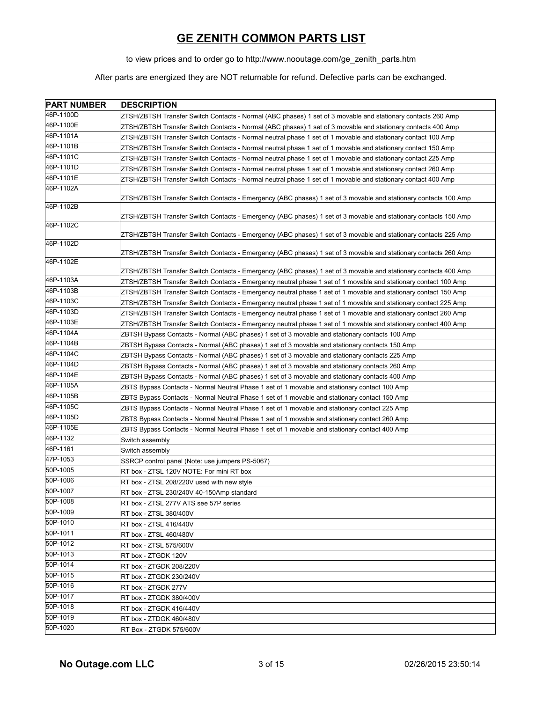to view prices and to order go to http://www.nooutage.com/ge\_zenith\_parts.htm

| <b>PART NUMBER</b> | <b>DESCRIPTION</b>                                                                                              |
|--------------------|-----------------------------------------------------------------------------------------------------------------|
| 46P-1100D          | ZTSH/ZBTSH Transfer Switch Contacts - Normal (ABC phases) 1 set of 3 movable and stationary contacts 260 Amp    |
| 46P-1100E          | ZTSH/ZBTSH Transfer Switch Contacts - Normal (ABC phases) 1 set of 3 movable and stationary contacts 400 Amp    |
| 46P-1101A          | ZTSH/ZBTSH Transfer Switch Contacts - Normal neutral phase 1 set of 1 movable and stationary contact 100 Amp    |
| 46P-1101B          | ZTSH/ZBTSH Transfer Switch Contacts - Normal neutral phase 1 set of 1 movable and stationary contact 150 Amp    |
| 46P-1101C          | ZTSH/ZBTSH Transfer Switch Contacts - Normal neutral phase 1 set of 1 movable and stationary contact 225 Amp    |
| 46P-1101D          | ZTSH/ZBTSH Transfer Switch Contacts - Normal neutral phase 1 set of 1 movable and stationary contact 260 Amp    |
| 46P-1101E          | ZTSH/ZBTSH Transfer Switch Contacts - Normal neutral phase 1 set of 1 movable and stationary contact 400 Amp    |
| 46P-1102A          | ZTSH/ZBTSH Transfer Switch Contacts - Emergency (ABC phases) 1 set of 3 movable and stationary contacts 100 Amp |
| 46P-1102B          | ZTSH/ZBTSH Transfer Switch Contacts - Emergency (ABC phases) 1 set of 3 movable and stationary contacts 150 Amp |
| 46P-1102C          | ZTSH/ZBTSH Transfer Switch Contacts - Emergency (ABC phases) 1 set of 3 movable and stationary contacts 225 Amp |
| 46P-1102D          |                                                                                                                 |
|                    | ZTSH/ZBTSH Transfer Switch Contacts - Emergency (ABC phases) 1 set of 3 movable and stationary contacts 260 Amp |
| 46P-1102E          | ZTSH/ZBTSH Transfer Switch Contacts - Emergency (ABC phases) 1 set of 3 movable and stationary contacts 400 Amp |
| 46P-1103A          | ZTSH/ZBTSH Transfer Switch Contacts - Emergency neutral phase 1 set of 1 movable and stationary contact 100 Amp |
| 46P-1103B          | ZTSH/ZBTSH Transfer Switch Contacts - Emergency neutral phase 1 set of 1 movable and stationary contact 150 Amp |
| 46P-1103C          | ZTSH/ZBTSH Transfer Switch Contacts - Emergency neutral phase 1 set of 1 movable and stationary contact 225 Amp |
| 46P-1103D          | ZTSH/ZBTSH Transfer Switch Contacts - Emergency neutral phase 1 set of 1 movable and stationary contact 260 Amp |
| 46P-1103E          | ZTSH/ZBTSH Transfer Switch Contacts - Emergency neutral phase 1 set of 1 movable and stationary contact 400 Amp |
| 46P-1104A          | ZBTSH Bypass Contacts - Normal (ABC phases) 1 set of 3 movable and stationary contacts 100 Amp                  |
| 46P-1104B          | ZBTSH Bypass Contacts - Normal (ABC phases) 1 set of 3 movable and stationary contacts 150 Amp                  |
| 46P-1104C          | ZBTSH Bypass Contacts - Normal (ABC phases) 1 set of 3 movable and stationary contacts 225 Amp                  |
| 46P-1104D          | ZBTSH Bypass Contacts - Normal (ABC phases) 1 set of 3 movable and stationary contacts 260 Amp                  |
| 46P-1104E          | ZBTSH Bypass Contacts - Normal (ABC phases) 1 set of 3 movable and stationary contacts 400 Amp                  |
| 46P-1105A          | ZBTS Bypass Contacts - Normal Neutral Phase 1 set of 1 movable and stationary contact 100 Amp                   |
| 46P-1105B          | ZBTS Bypass Contacts - Normal Neutral Phase 1 set of 1 movable and stationary contact 150 Amp                   |
| 46P-1105C          | ZBTS Bypass Contacts - Normal Neutral Phase 1 set of 1 movable and stationary contact 225 Amp                   |
| 46P-1105D          | ZBTS Bypass Contacts - Normal Neutral Phase 1 set of 1 movable and stationary contact 260 Amp                   |
| 46P-1105E          | ZBTS Bypass Contacts - Normal Neutral Phase 1 set of 1 movable and stationary contact 400 Amp                   |
| 46P-1132           | Switch assembly                                                                                                 |
| 46P-1161           | Switch assembly                                                                                                 |
| 47P-1053           | SSRCP control panel (Note: use jumpers PS-5067)                                                                 |
| 50P-1005           | RT box - ZTSL 120V NOTE: For mini RT box                                                                        |
| 50P-1006           | RT box - ZTSL 208/220V used with new style                                                                      |
| 50P-1007           | RT box - ZTSL 230/240V 40-150Amp standard                                                                       |
| 50P-1008           | RT box - ZTSL 277V ATS see 57P series                                                                           |
| 50P-1009           | RT box - ZTSL 380/400V                                                                                          |
| 50P-1010           | RT box - ZTSL 416/440V                                                                                          |
| 50P-1011           | RT box - ZTSL 460/480V                                                                                          |
| 50P-1012           | RT box - ZTSL 575/600V                                                                                          |
| 50P-1013           | RT box - ZTGDK 120V                                                                                             |
| 50P-1014           | RT box - ZTGDK 208/220V                                                                                         |
| 50P-1015           | RT box - ZTGDK 230/240V                                                                                         |
| 50P-1016           | RT box - ZTGDK 277V                                                                                             |
| 50P-1017           | RT box - ZTGDK 380/400V                                                                                         |
| 50P-1018           | RT box - ZTGDK 416/440V                                                                                         |
| 50P-1019           | RT box - ZTDGK 460/480V                                                                                         |
| 50P-1020           | RT Box - ZTGDK 575/600V                                                                                         |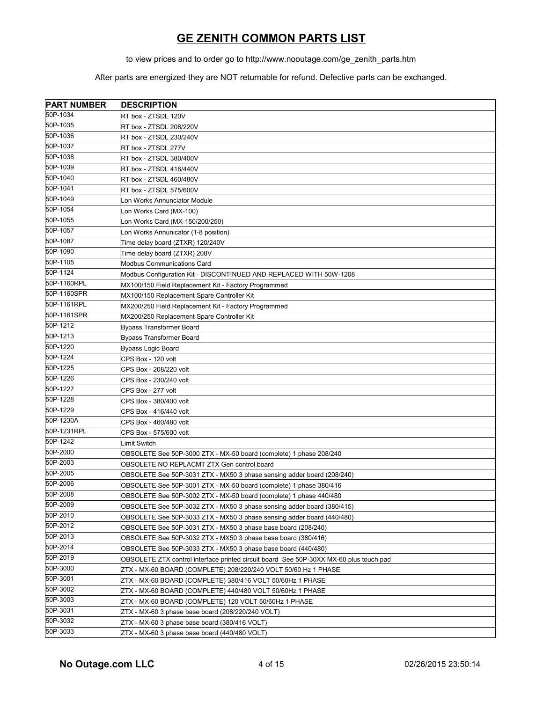to view prices and to order go to http://www.nooutage.com/ge\_zenith\_parts.htm

| <b>PART NUMBER</b> | <b>DESCRIPTION</b>                                                                     |
|--------------------|----------------------------------------------------------------------------------------|
| 50P-1034           | RT box - ZTSDL 120V                                                                    |
| 50P-1035           | RT box - ZTSDL 208/220V                                                                |
| 50P-1036           | RT box - ZTSDL 230/240V                                                                |
| 50P-1037           | RT box - ZTSDL 277V                                                                    |
| 50P-1038           | RT box - ZTSDL 380/400V                                                                |
| 50P-1039           | RT box - ZTSDL 416/440V                                                                |
| 50P-1040           | RT box - ZTSDL 460/480V                                                                |
| 50P-1041           | RT box - ZTSDL 575/600V                                                                |
| 50P-1049           | Lon Works Annunciator Module                                                           |
| 50P-1054           | Lon Works Card (MX-100)                                                                |
| 50P-1055           | Lon Works Card (MX-150/200/250)                                                        |
| 50P-1057           | Lon Works Annunicator (1-8 position)                                                   |
| 50P-1087           | Time delay board (ZTXR) 120/240V                                                       |
| 50P-1090           | Time delay board (ZTXR) 208V                                                           |
| 50P-1105           | <b>Modbus Communications Card</b>                                                      |
| 50P-1124           | Modbus Configuration Kit - DISCONTINUED AND REPLACED WITH 50W-1208                     |
| 50P-1160RPL        | MX100/150 Field Replacement Kit - Factory Programmed                                   |
| 50P-1160SPR        | MX100/150 Replacement Spare Controller Kit                                             |
| 50P-1161RPL        | MX200/250 Field Replacement Kit - Factory Programmed                                   |
| 50P-1161SPR        | MX200/250 Replacement Spare Controller Kit                                             |
| 50P-1212           | <b>Bypass Transformer Board</b>                                                        |
| 50P-1213           | <b>Bypass Transformer Board</b>                                                        |
| 50P-1220           | <b>Bypass Logic Board</b>                                                              |
| 50P-1224           | CPS Box - 120 volt                                                                     |
| 50P-1225           | CPS Box - 208/220 volt                                                                 |
| 50P-1226           | CPS Box - 230/240 volt                                                                 |
| 50P-1227           | CPS Box - 277 volt                                                                     |
| 50P-1228           | CPS Box - 380/400 volt                                                                 |
| 50P-1229           | CPS Box - 416/440 volt                                                                 |
| 50P-1230A          | CPS Box - 460/480 volt                                                                 |
| 50P-1231RPL        | CPS Box - 575/600 volt                                                                 |
| 50P-1242           | Limit Switch                                                                           |
| 50P-2000           | OBSOLETE See 50P-3000 ZTX - MX-50 board (complete) 1 phase 208/240                     |
| 50P-2003           | OBSOLETE NO REPLACMT ZTX Gen control board                                             |
| 50P-2005           | OBSOLETE See 50P-3031 ZTX - MX50 3 phase sensing adder board (208/240)                 |
| 50P-2006           | OBSOLETE See 50P-3001 ZTX - MX-50 board (complete) 1 phase 380/416                     |
| 50P-2008           | OBSOLETE See 50P-3002 ZTX - MX-50 board (complete) 1 phase 440/480                     |
| 50P-2009           | OBSOLETE See 50P-3032 ZTX - MX50 3 phase sensing adder board (380/415)                 |
| 50P-2010           | OBSOLETE See 50P-3033 ZTX - MX50 3 phase sensing adder board (440/480)                 |
| 50P-2012           | OBSOLETE See 50P-3031 ZTX - MX50 3 phase base board (208/240)                          |
| 50P-2013           | OBSOLETE See 50P-3032 ZTX - MX50 3 phase base board (380/416)                          |
| 50P-2014           | OBSOLETE See 50P-3033 ZTX - MX50 3 phase base board (440/480)                          |
| 50P-2019           | OBSOLETE ZTX control interface printed circuit board See 50P-30XX MX-60 plus touch pad |
| 50P-3000           | ZTX - MX-60 BOARD (COMPLETE) 208/220/240 VOLT 50/60 Hz 1 PHASE                         |
| 50P-3001           | ZTX - MX-60 BOARD (COMPLETE) 380/416 VOLT 50/60Hz 1 PHASE                              |
| 50P-3002           | ZTX - MX-60 BOARD (COMPLETE) 440/480 VOLT 50/60Hz 1 PHASE                              |
| 50P-3003           | ZTX - MX-60 BOARD (COMPLETE) 120 VOLT 50/60Hz 1 PHASE                                  |
| 50P-3031           | ZTX - MX-60 3 phase base board (208/220/240 VOLT)                                      |
| 50P-3032           | ZTX - MX-60 3 phase base board (380/416 VOLT)                                          |
| 50P-3033           | ZTX - MX-60 3 phase base board (440/480 VOLT)                                          |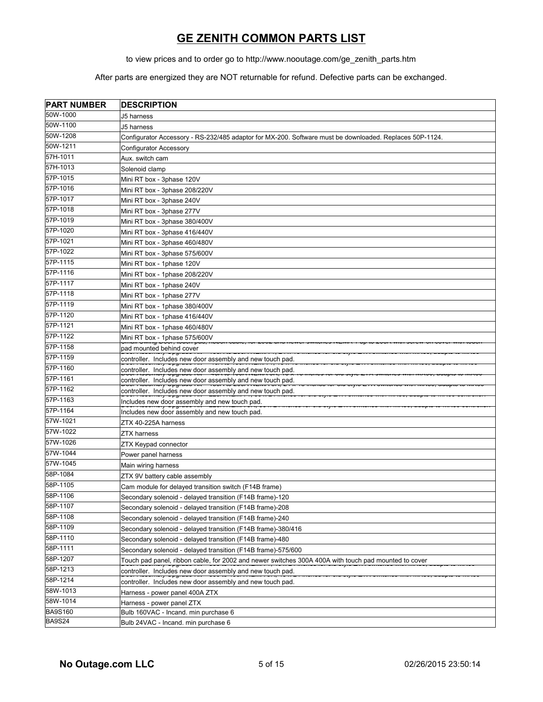to view prices and to order go to http://www.nooutage.com/ge\_zenith\_parts.htm

| <b>PART NUMBER</b> | <b>DESCRIPTION</b>                                                                                                                                                                                                                                                                                 |
|--------------------|----------------------------------------------------------------------------------------------------------------------------------------------------------------------------------------------------------------------------------------------------------------------------------------------------|
| 50W-1000           | J5 harness                                                                                                                                                                                                                                                                                         |
| 50W-1100           | J5 harness                                                                                                                                                                                                                                                                                         |
| 50W-1208           | Configurator Accessory - RS-232/485 adaptor for MX-200. Software must be downloaded. Replaces 50P-1124.                                                                                                                                                                                            |
| 50W-1211           | <b>Configurator Accessory</b>                                                                                                                                                                                                                                                                      |
| 57H-1011           | Aux. switch cam                                                                                                                                                                                                                                                                                    |
| 57H-1013           | Solenoid clamp                                                                                                                                                                                                                                                                                     |
| 57P-1015           | Mini RT box - 3phase 120V                                                                                                                                                                                                                                                                          |
| 57P-1016           | Mini RT box - 3phase 208/220V                                                                                                                                                                                                                                                                      |
| 57P-1017           | Mini RT box - 3phase 240V                                                                                                                                                                                                                                                                          |
| 57P-1018           | Mini RT box - 3phase 277V                                                                                                                                                                                                                                                                          |
| 57P-1019           | Mini RT box - 3phase 380/400V                                                                                                                                                                                                                                                                      |
| 57P-1020           | Mini RT box - 3phase 416/440V                                                                                                                                                                                                                                                                      |
| 57P-1021           | Mini RT box - 3phase 460/480V                                                                                                                                                                                                                                                                      |
| 57P-1022           | Mini RT box - 3phase 575/600V                                                                                                                                                                                                                                                                      |
| 57P-1115           | Mini RT box - 1phase 120V                                                                                                                                                                                                                                                                          |
| 57P-1116           | Mini RT box - 1phase 208/220V                                                                                                                                                                                                                                                                      |
| 57P-1117           | Mini RT box - 1phase 240V                                                                                                                                                                                                                                                                          |
| 57P-1118           | Mini RT box - 1phase 277V                                                                                                                                                                                                                                                                          |
| 57P-1119           | Mini RT box - 1phase 380/400V                                                                                                                                                                                                                                                                      |
| 57P-1120           | Mini RT box - 1phase 416/440V                                                                                                                                                                                                                                                                      |
| 57P-1121           | Mini RT box - 1phase 460/480V                                                                                                                                                                                                                                                                      |
| 57P-1122           | Mini RT box - 1phase 575/600V                                                                                                                                                                                                                                                                      |
| 57P-1158           | הסטטר, וטטס פוזוזיט ווטוווכ<br>pad mounted behind cover                                                                                                                                                                                                                                            |
| 57P-1159           | <del>וויז טטאיקע צומוזוטטטרו וטט</del> כ<br>controller. Includes new door assembly and new touch pad.                                                                                                                                                                                              |
| 57P-1160           | ט ווטווטט וטו טוט טנוען ב ו א טוווטווטט ווען וואר טטווטווו טו<br>controller. Includes new door assembly and new touch pad.                                                                                                                                                                         |
| 57P-1161           | טסט ראססטוואון שµטופטר מוד – דטר וט לסטרדזם ואוראט ווי ה' א לא פון שטרט אופיוס ב דור סוווטווסט וואוראסט, מממµט וט או<br>controller. Includes new door assembly and new touch pad.<br>Door noodmary Opgrade not new to be an including the removed on one day to be a similar annou, adapte to mine |
| 57P-1162           | controller. Includes new door assembly and new touch pad.<br>Door Accounting Opgroup Time Econometric 1, 00 A.E.T. mondo for ord agree ETA omnomed man mando, dadpto to mando controller                                                                                                           |
| 57P-1163           | Includes new door assembly and new touch pad.<br>$\blacksquare$ The product of $\blacksquare$                                                                                                                                                                                                      |
| 57P-1164           | aar maannari abdrai<br>Includes new door assembly and new touch pad.                                                                                                                                                                                                                               |
| 57W-1021           | ZTX 40-225A harness                                                                                                                                                                                                                                                                                |
| 57W-1022           | <b>ZTX harness</b>                                                                                                                                                                                                                                                                                 |
| 57W-1026           | ZTX Keypad connector                                                                                                                                                                                                                                                                               |
| 57W-1044           | Power panel harness                                                                                                                                                                                                                                                                                |
| 57W-1045           | Main wiring harness                                                                                                                                                                                                                                                                                |
| 58P-1084           | ZTX 9V battery cable assembly                                                                                                                                                                                                                                                                      |
| 58P-1105           | Cam module for delayed transition switch (F14B frame)                                                                                                                                                                                                                                              |
| 58P-1106           | Secondary solenoid - delayed transition (F14B frame)-120                                                                                                                                                                                                                                           |
| 58P-1107           | Secondary solenoid - delayed transition (F14B frame)-208                                                                                                                                                                                                                                           |
| 58P-1108           | Secondary solenoid - delayed transition (F14B frame)-240                                                                                                                                                                                                                                           |
| 58P-1109           | Secondary solenoid - delayed transition (F14B frame)-380/416                                                                                                                                                                                                                                       |
| 58P-1110           | Secondary solenoid - delayed transition (F14B frame)-480                                                                                                                                                                                                                                           |
| 58P-1111           | Secondary solenoid - delayed transition (F14B frame)-575/600                                                                                                                                                                                                                                       |
| 58P-1207           | Touch pad panel, ribbon cable, for 2002 and newer switches 300A 400A with touch pad mounted to cover                                                                                                                                                                                               |
| 58P-1213           | controller. Includes new door assembly and new touch pad.                                                                                                                                                                                                                                          |
| 58P-1214           | controller. Includes new door assembly and new touch pad.                                                                                                                                                                                                                                          |
| 58W-1013           | Harness - power panel 400A ZTX                                                                                                                                                                                                                                                                     |
| 58W-1014           | Harness - power panel ZTX                                                                                                                                                                                                                                                                          |
| <b>BA9S160</b>     | Bulb 160VAC - Incand. min purchase 6                                                                                                                                                                                                                                                               |
| <b>BA9S24</b>      | Bulb 24VAC - Incand. min purchase 6                                                                                                                                                                                                                                                                |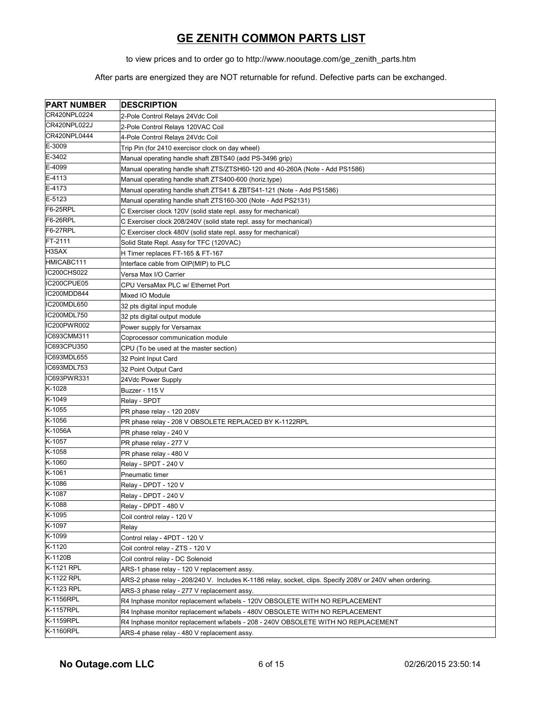to view prices and to order go to http://www.nooutage.com/ge\_zenith\_parts.htm

| <b>PART NUMBER</b> | <b>DESCRIPTION</b>                                                                                       |
|--------------------|----------------------------------------------------------------------------------------------------------|
| CR420NPL0224       | 2-Pole Control Relays 24Vdc Coil                                                                         |
| CR420NPL022J       | 2-Pole Control Relays 120VAC Coil                                                                        |
| CR420NPL0444       | 4-Pole Control Relays 24Vdc Coil                                                                         |
| E-3009             | Trip Pin (for 2410 exercisor clock on day wheel)                                                         |
| E-3402             | Manual operating handle shaft ZBTS40 (add PS-3496 grip)                                                  |
| E-4099             | Manual operating handle shaft ZTS/ZTSH60-120 and 40-260A (Note - Add PS1586)                             |
| E-4113             | Manual operating handle shaft ZTS400-600 (horiz.type)                                                    |
| E-4173             | Manual operating handle shaft ZTS41 & ZBTS41-121 (Note - Add PS1586)                                     |
| E-5123             | Manual operating handle shaft ZTS160-300 (Note - Add PS2131)                                             |
| F6-25RPL           | C Exerciser clock 120V (solid state repl. assy for mechanical)                                           |
| F6-26RPL           | C Exerciser clock 208/240V (solid state repl. assy for mechanical)                                       |
| F6-27RPL           | C Exerciser clock 480V (solid state repl. assy for mechanical)                                           |
| FT-2111            | Solid State Repl. Assy for TFC (120VAC)                                                                  |
| H3SAX              | H Timer replaces FT-165 & FT-167                                                                         |
| HMICABC111         | Interface cable from OIP(MIP) to PLC                                                                     |
| IC200CHS022        | Versa Max I/O Carrier                                                                                    |
| IC200CPUE05        | CPU VersaMax PLC w/ Ethernet Port                                                                        |
| IC200MDD844        | Mixed IO Module                                                                                          |
| IC200MDL650        | 32 pts digital input module                                                                              |
| IC200MDL750        | 32 pts digital output module                                                                             |
| IC200PWR002        | Power supply for Versamax                                                                                |
| IC693CMM311        | Coprocessor communication module                                                                         |
| IC693CPU350        | CPU (To be used at the master section)                                                                   |
| IC693MDL655        | 32 Point Input Card                                                                                      |
| IC693MDL753        | 32 Point Output Card                                                                                     |
| IC693PWR331        | 24Vdc Power Supply                                                                                       |
| K-1028             | Buzzer - 115 V                                                                                           |
| K-1049             | Relay - SPDT                                                                                             |
| K-1055             | PR phase relay - 120 208V                                                                                |
| K-1056             | PR phase relay - 208 V OBSOLETE REPLACED BY K-1122RPL                                                    |
| K-1056A            | PR phase relay - 240 V                                                                                   |
| K-1057             | PR phase relay - 277 V                                                                                   |
| K-1058             | PR phase relay - 480 V                                                                                   |
| K-1060             | Relay - SPDT - 240 V                                                                                     |
| K-1061             | Pneumatic timer                                                                                          |
| K-1086             | Relay - DPDT - 120 V                                                                                     |
| K-1087             | Relay - DPDT - 240 V                                                                                     |
| K-1088             | Relay - DPDT - 480 V                                                                                     |
| K-1095             | Coil control relay - 120 V                                                                               |
| K-1097             | Relay                                                                                                    |
| K-1099             | Control relay - 4PDT - 120 V                                                                             |
| K-1120             | Coil control relay - ZTS - 120 V                                                                         |
| K-1120B            | Coil control relay - DC Solenoid                                                                         |
| K-1121 RPL         | ARS-1 phase relay - 120 V replacement assy.                                                              |
| K-1122 RPL         | ARS-2 phase relay - 208/240 V. Includes K-1186 relay, socket, clips. Specify 208V or 240V when ordering. |
| K-1123 RPL         | ARS-3 phase relay - 277 V replacement assy.                                                              |
| <b>K-1156RPL</b>   | R4 Inphase monitor replacement w/labels - 120V OBSOLETE WITH NO REPLACEMENT                              |
| K-1157RPL          | R4 Inphase monitor replacement w/labels - 480V OBSOLETE WITH NO REPLACEMENT                              |
| K-1159RPL          | R4 Inphase monitor replacement w/labels - 208 - 240V OBSOLETE WITH NO REPLACEMENT                        |
| K-1160RPL          | ARS-4 phase relay - 480 V replacement assy.                                                              |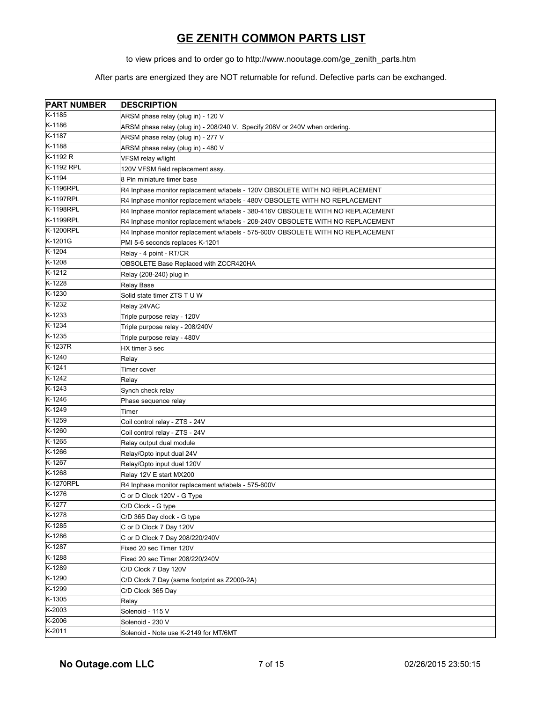to view prices and to order go to http://www.nooutage.com/ge\_zenith\_parts.htm

| <b>PART NUMBER</b> | <b>DESCRIPTION</b>                                                              |
|--------------------|---------------------------------------------------------------------------------|
| K-1185             | ARSM phase relay (plug in) - 120 V                                              |
| K-1186             | ARSM phase relay (plug in) - 208/240 V. Specify 208V or 240V when ordering.     |
| K-1187             | ARSM phase relay (plug in) - 277 V                                              |
| K-1188             | ARSM phase relay (plug in) - 480 V                                              |
| K-1192 R           | VFSM relay w/light                                                              |
| K-1192 RPL         | 120V VFSM field replacement assy.                                               |
| K-1194             | 8 Pin miniature timer base                                                      |
| K-1196RPL          | R4 Inphase monitor replacement w/labels - 120V OBSOLETE WITH NO REPLACEMENT     |
| K-1197RPL          | R4 Inphase monitor replacement w/labels - 480V OBSOLETE WITH NO REPLACEMENT     |
| K-1198RPL          | R4 Inphase monitor replacement w/labels - 380-416V OBSOLETE WITH NO REPLACEMENT |
| K-1199RPL          | R4 Inphase monitor replacement w/labels - 208-240V OBSOLETE WITH NO REPLACEMENT |
| K-1200RPL          | R4 Inphase monitor replacement w/labels - 575-600V OBSOLETE WITH NO REPLACEMENT |
| K-1201G            | PMI 5-6 seconds replaces K-1201                                                 |
| K-1204             | Relay - 4 point - RT/CR                                                         |
| K-1208             | OBSOLETE Base Replaced with ZCCR420HA                                           |
| K-1212             | Relay (208-240) plug in                                                         |
| K-1228             | Relay Base                                                                      |
| K-1230             | Solid state timer ZTS TU W                                                      |
| K-1232             | Relay 24VAC                                                                     |
| $K-1233$           | Triple purpose relay - 120V                                                     |
| K-1234             | Triple purpose relay - 208/240V                                                 |
| $K-1235$           | Triple purpose relay - 480V                                                     |
| K-1237R            | HX timer 3 sec                                                                  |
| K-1240             | Relay                                                                           |
| K-1241             | Timer cover                                                                     |
| K-1242             | Relay                                                                           |
| $K-1243$           | Synch check relay                                                               |
| K-1246             | Phase sequence relay                                                            |
| K-1249             | Timer                                                                           |
| K-1259             | Coil control relay - ZTS - 24V                                                  |
| K-1260             | Coil control relay - ZTS - 24V                                                  |
| K-1265             | Relay output dual module                                                        |
| K-1266             | Relay/Opto input dual 24V                                                       |
| K-1267             | Relay/Opto input dual 120V                                                      |
| K-1268             | Relay 12V E start MX200                                                         |
| <b>K-1270RPL</b>   | R4 Inphase monitor replacement w/labels - 575-600V                              |
| $K-1276$           | C or D Clock 120V - G Type                                                      |
| K-1277             | C/D Clock - G type                                                              |
| K-1278             | C/D 365 Day clock - G type                                                      |
| K-1285             | C or D Clock 7 Day 120V                                                         |
| K-1286             | C or D Clock 7 Day 208/220/240V                                                 |
| K-1287             | Fixed 20 sec Timer 120V                                                         |
| K-1288             | Fixed 20 sec Timer 208/220/240V                                                 |
| K-1289             | C/D Clock 7 Day 120V                                                            |
| K-1290             | C/D Clock 7 Day (same footprint as Z2000-2A)                                    |
| K-1299             | C/D Clock 365 Day                                                               |
| K-1305             | Relay                                                                           |
| K-2003             | Solenoid - 115 V                                                                |
| K-2006             | Solenoid - 230 V                                                                |
| $K-2011$           | Solenoid - Note use K-2149 for MT/6MT                                           |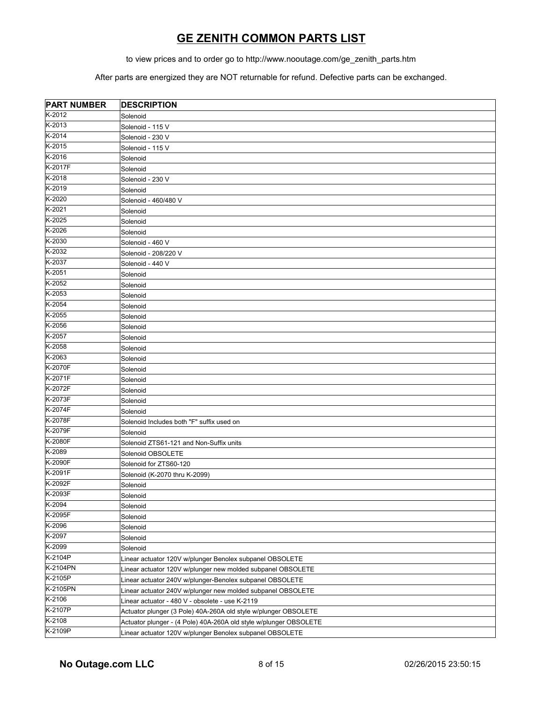to view prices and to order go to http://www.nooutage.com/ge\_zenith\_parts.htm

| <b>PART NUMBER</b> | <b>DESCRIPTION</b>                                                |
|--------------------|-------------------------------------------------------------------|
| K-2012             | Solenoid                                                          |
| K-2013             | Solenoid - 115 V                                                  |
| K-2014             | Solenoid - 230 V                                                  |
| K-2015             | Solenoid - 115 V                                                  |
| K-2016             | Solenoid                                                          |
| K-2017F            | Solenoid                                                          |
| K-2018             | Solenoid - 230 V                                                  |
| K-2019             | Solenoid                                                          |
| K-2020             | Solenoid - 460/480 V                                              |
| K-2021             | Solenoid                                                          |
| K-2025             | Solenoid                                                          |
| K-2026             | Solenoid                                                          |
| K-2030             | Solenoid - 460 V                                                  |
| K-2032             | Solenoid - 208/220 V                                              |
| K-2037             | Solenoid - 440 V                                                  |
| K-2051             | Solenoid                                                          |
| K-2052             | Solenoid                                                          |
| K-2053             | Solenoid                                                          |
| K-2054             | Solenoid                                                          |
| K-2055             | Solenoid                                                          |
| K-2056             | Solenoid                                                          |
| K-2057             | Solenoid                                                          |
| K-2058             | Solenoid                                                          |
| K-2063             | Solenoid                                                          |
| K-2070F            | Solenoid                                                          |
| K-2071F            | Solenoid                                                          |
| K-2072F            | Solenoid                                                          |
| K-2073F            | Solenoid                                                          |
| K-2074F            | Solenoid                                                          |
| K-2078F            | Solenoid Includes both "F" suffix used on                         |
| K-2079F            | Solenoid                                                          |
| K-2080F            | Solenoid ZTS61-121 and Non-Suffix units                           |
| K-2089             | Solenoid OBSOLETE                                                 |
| K-2090F            | Solenoid for ZTS60-120                                            |
| K-2091F            | Solenoid (K-2070 thru K-2099)                                     |
| K-2092F            | Solenoid                                                          |
| K-2093F            | Solenoid                                                          |
| K-2094             | Solenoid                                                          |
| K-2095F            | Solenoid                                                          |
| K-2096             | Solenoid                                                          |
| K-2097             | Solenoid                                                          |
| K-2099             | Solenoid                                                          |
| $K-2104P$          | Linear actuator 120V w/plunger Benolex subpanel OBSOLETE          |
| K-2104PN           | Linear actuator 120V w/plunger new molded subpanel OBSOLETE       |
| K-2105P            | Linear actuator 240V w/plunger-Benolex subpanel OBSOLETE          |
| K-2105PN           | Linear actuator 240V w/plunger new molded subpanel OBSOLETE       |
| K-2106             | Linear actuator - 480 V - obsolete - use K-2119                   |
| K-2107P            | Actuator plunger (3 Pole) 40A-260A old style w/plunger OBSOLETE   |
| K-2108             | Actuator plunger - (4 Pole) 40A-260A old style w/plunger OBSOLETE |
| K-2109P            | Linear actuator 120V w/plunger Benolex subpanel OBSOLETE          |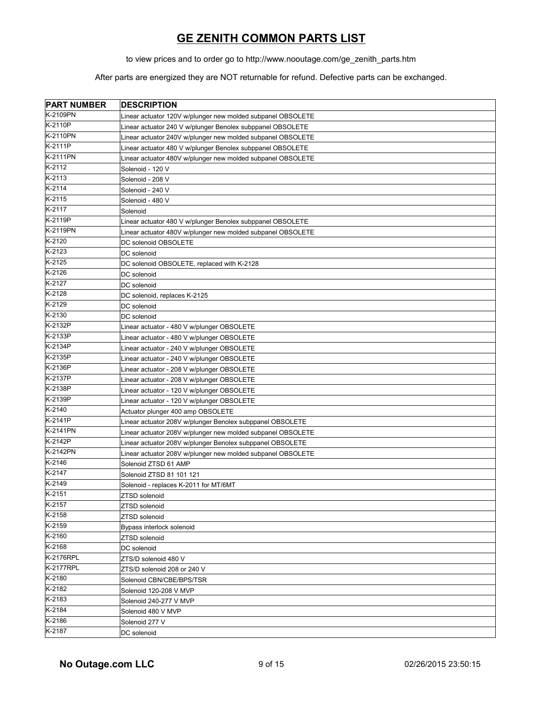to view prices and to order go to http://www.nooutage.com/ge\_zenith\_parts.htm

| <b>PART NUMBER</b> | <b>DESCRIPTION</b>                                          |
|--------------------|-------------------------------------------------------------|
| K-2109PN           | Linear actuator 120V w/plunger new molded subpanel OBSOLETE |
| K-2110P            | Linear actuator 240 V w/plunger Benolex subppanel OBSOLETE  |
| K-2110PN           | Linear actuator 240V w/plunger new molded subpanel OBSOLETE |
| K-2111P            | Linear actuator 480 V w/plunger Benolex subppanel OBSOLETE  |
| K-2111PN           | Linear actuator 480V w/plunger new molded subpanel OBSOLETE |
| K-2112             | Solenoid - 120 V                                            |
| $K-2$ 113          | Solenoid - 208 V                                            |
| $K-2114$           | Solenoid - 240 V                                            |
| $K-2115$           | Solenoid - 480 V                                            |
| K-2117             | Solenoid                                                    |
| K-2119P            | Linear actuator 480 V w/plunger Benolex subppanel OBSOLETE  |
| K-2119PN           | Linear actuator 480V w/plunger new molded subpanel OBSOLETE |
| K-2120             | DC solenoid OBSOLETE                                        |
| $K-2123$           | DC solenoid                                                 |
| K-2125             | DC solenoid OBSOLETE, replaced with K-2128                  |
| K-2126             | DC solenoid                                                 |
| K-2127             | DC solenoid                                                 |
| K-2128             | DC solenoid, replaces K-2125                                |
| K-2129             | DC solenoid                                                 |
| K-2130             | DC solenoid                                                 |
| K-2132P            | Linear actuator - 480 V w/plunger OBSOLETE                  |
| K-2133P            | Linear actuator - 480 V w/plunger OBSOLETE                  |
| K-2134P            | Linear actuator - 240 V w/plunger OBSOLETE                  |
| K-2135P            | Linear actuator - 240 V w/plunger OBSOLETE                  |
| K-2136P            | Linear actuator - 208 V w/plunger OBSOLETE                  |
| K-2137P            | Linear actuator - 208 V w/plunger OBSOLETE                  |
| K-2138P            | Linear actuator - 120 V w/plunger OBSOLETE                  |
| K-2139P            | Linear actuator - 120 V w/plunger OBSOLETE                  |
| K-2140             | Actuator plunger 400 amp OBSOLETE                           |
| K-2141P            | Linear actuator 208V w/plunger Benolex subppanel OBSOLETE   |
| K-2141PN           | Linear actuator 208V w/plunger new molded subpanel OBSOLETE |
| $K-2142P$          | Linear actuator 208V w/plunger Benolex subppanel OBSOLETE   |
| K-2142PN           | Linear actuator 208V w/plunger new molded subpanel OBSOLETE |
| $K-2146$           | Solenoid ZTSD 61 AMP                                        |
| K-2147             | Solenoid ZTSD 81 101 121                                    |
| K-2149             | Solenoid - replaces K-2011 for MT/6MT                       |
| $K-2151$           | ZTSD solenoid                                               |
| K-2157             | ZTSD solenoid                                               |
| K-2158             | ZTSD solenoid                                               |
| K-2159             | Bypass interlock solenoid                                   |
| K-2160             | ZTSD solenoid                                               |
| K-2168             | DC solenoid                                                 |
| K-2176RPL          | ZTS/D solenoid 480 V                                        |
| <b>K-2177RPL</b>   | ZTS/D solenoid 208 or 240 V                                 |
| K-2180             | Solenoid CBN/CBE/BPS/TSR                                    |
| K-2182             | Solenoid 120-208 V MVP                                      |
| K-2183             | Solenoid 240-277 V MVP                                      |
| K-2184             | Solenoid 480 V MVP                                          |
| K-2186             | Solenoid 277 V                                              |
| K-2187             | DC solenoid                                                 |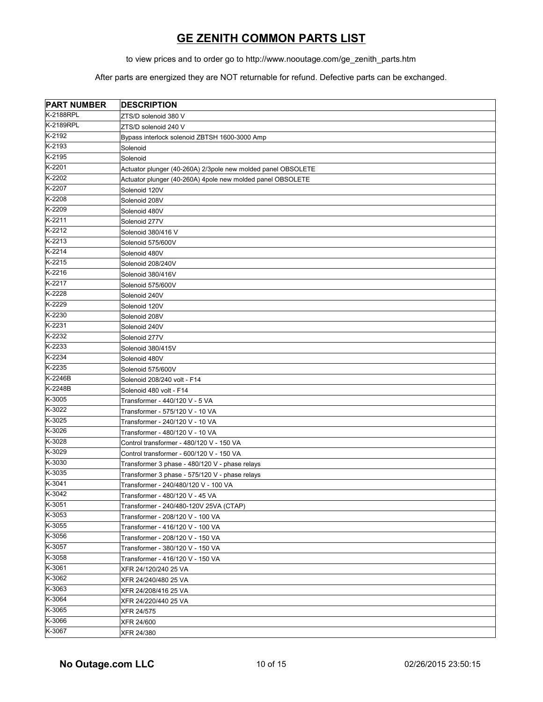to view prices and to order go to http://www.nooutage.com/ge\_zenith\_parts.htm

| <b>PART NUMBER</b> | <b>DESCRIPTION</b>                                           |
|--------------------|--------------------------------------------------------------|
| <b>K-2188RPL</b>   | ZTS/D solenoid 380 V                                         |
| K-2189RPL          | ZTS/D solenoid 240 V                                         |
| K-2192             | Bypass interlock solenoid ZBTSH 1600-3000 Amp                |
| K-2193             | Solenoid                                                     |
| $K-2195$           | Solenoid                                                     |
| K-2201             | Actuator plunger (40-260A) 2/3pole new molded panel OBSOLETE |
| K-2202             | Actuator plunger (40-260A) 4pole new molded panel OBSOLETE   |
| K-2207             | Solenoid 120V                                                |
| K-2208             | Solenoid 208V                                                |
| K-2209             | Solenoid 480V                                                |
| K-2211             | Solenoid 277V                                                |
| K-2212             | Solenoid 380/416 V                                           |
| K-2213             | Solenoid 575/600V                                            |
| K-2214             | Solenoid 480V                                                |
| K-2215             | Solenoid 208/240V                                            |
| K-2216             | Solenoid 380/416V                                            |
| K-2217             | Solenoid 575/600V                                            |
| K-2228             | Solenoid 240V                                                |
| K-2229             | Solenoid 120V                                                |
| K-2230             | Solenoid 208V                                                |
| K-2231             | Solenoid 240V                                                |
| K-2232             | Solenoid 277V                                                |
| K-2233             | Solenoid 380/415V                                            |
| K-2234             | Solenoid 480V                                                |
| K-2235             | Solenoid 575/600V                                            |
| K-2246B            | Solenoid 208/240 volt - F14                                  |
| K-2248B            | Solenoid 480 volt - F14                                      |
| K-3005             | Transformer - 440/120 V - 5 VA                               |
| K-3022             | Transformer - 575/120 V - 10 VA                              |
| K-3025             | Transformer - 240/120 V - 10 VA                              |
| K-3026             | Transformer - 480/120 V - 10 VA                              |
| K-3028             | Control transformer - 480/120 V - 150 VA                     |
| K-3029             | Control transformer - 600/120 V - 150 VA                     |
| K-3030             | Transformer 3 phase - 480/120 V - phase relays               |
| K-3035             | Transformer 3 phase - 575/120 V - phase relays               |
| K-3041             | Transformer - 240/480/120 V - 100 VA                         |
| $K-3042$           | Transformer - 480/120 V - 45 VA                              |
| $K-3051$           | Transformer - 240/480-120V 25VA (CTAP)                       |
| K-3053             | Transformer - 208/120 V - 100 VA                             |
| K-3055             | Transformer - 416/120 V - 100 VA                             |
| K-3056             | Transformer - 208/120 V - 150 VA                             |
| K-3057             | Transformer - 380/120 V - 150 VA                             |
| K-3058             | Transformer - 416/120 V - 150 VA                             |
| K-3061             | XFR 24/120/240 25 VA                                         |
| K-3062             | XFR 24/240/480 25 VA                                         |
| K-3063             | XFR 24/208/416 25 VA                                         |
| K-3064             | XFR 24/220/440 25 VA                                         |
| K-3065             | XFR 24/575                                                   |
| K-3066             | XFR 24/600                                                   |
| K-3067             | XFR 24/380                                                   |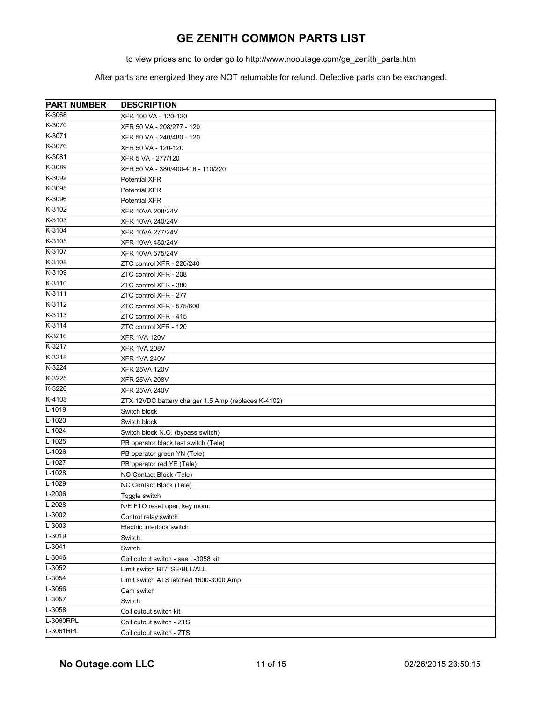to view prices and to order go to http://www.nooutage.com/ge\_zenith\_parts.htm

| <b>PART NUMBER</b>   | <b>DESCRIPTION</b>                                  |
|----------------------|-----------------------------------------------------|
| K-3068               | XFR 100 VA - 120-120                                |
| K-3070               | XFR 50 VA - 208/277 - 120                           |
| K-3071               | XFR 50 VA - 240/480 - 120                           |
| K-3076               | XFR 50 VA - 120-120                                 |
| K-3081               | XFR 5 VA - 277/120                                  |
| K-3089               | XFR 50 VA - 380/400-416 - 110/220                   |
| K-3092               | Potential XFR                                       |
| K-3095               | Potential XFR                                       |
| K-3096               | <b>Potential XFR</b>                                |
| K-3102               | XFR 10VA 208/24V                                    |
| K-3103               | <b>XFR 10VA 240/24V</b>                             |
| K-3104               | <b>XFR 10VA 277/24V</b>                             |
| K-3105               | XFR 10VA 480/24V                                    |
| K-3107               | XFR 10VA 575/24V                                    |
| K-3108               | ZTC control XFR - 220/240                           |
| K-3109               | ZTC control XFR - 208                               |
| K-3110               | ZTC control XFR - 380                               |
| K-3111               | ZTC control XFR - 277                               |
| K-3112               | ZTC control XFR - 575/600                           |
| K-3113               | ZTC control XFR - 415                               |
| K-3114               | ZTC control XFR - 120                               |
| K-3216               | <b>XFR 1VA 120V</b>                                 |
| K-3217               | <b>XFR 1VA 208V</b>                                 |
| K-3218               | <b>XFR 1VA 240V</b>                                 |
| K-3224               | <b>XFR 25VA 120V</b>                                |
| K-3225               | <b>XFR 25VA 208V</b>                                |
| K-3226               | <b>XFR 25VA 240V</b>                                |
| K-4103               | ZTX 12VDC battery charger 1.5 Amp (replaces K-4102) |
| L-1019               | Switch block                                        |
| L-1020               | Switch block                                        |
| L-1024               | Switch block N.O. (bypass switch)                   |
| L-1025               | PB operator black test switch (Tele)                |
| L-1026               | PB operator green YN (Tele)                         |
| L-1027               | PB operator red YE (Tele)                           |
| L-1028               | NO Contact Block (Tele)                             |
| L-1029               | NC Contact Block (Tele)                             |
| $L-2006$             | Toggle switch                                       |
| L-2028               | N/E FTO reset oper; key mom.                        |
| $L-3002$             | Control relay switch                                |
| L-3003               | Electric interlock switch                           |
| $\overline{L}$ -3019 | Switch                                              |
| $L-3041$             | Switch                                              |
| L-3046               | Coil cutout switch - see L-3058 kit                 |
| L-3052               | Limit switch BT/TSE/BLL/ALL                         |
| L-3054               | Limit switch ATS latched 1600-3000 Amp              |
| L-3056               | Cam switch                                          |
| L-3057               | Switch                                              |
| L-3058               | Coil cutout switch kit                              |
| L-3060RPL            | Coil cutout switch - ZTS                            |
| L-3061RPL            | Coil cutout switch - ZTS                            |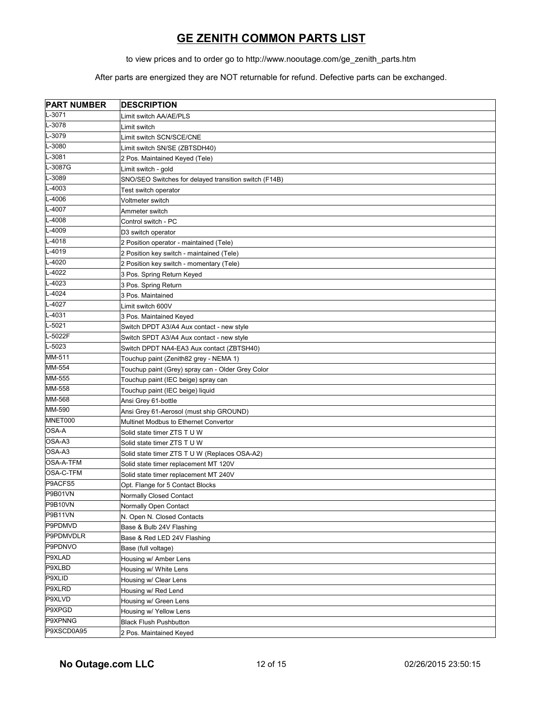to view prices and to order go to http://www.nooutage.com/ge\_zenith\_parts.htm

| <b>PART NUMBER</b> | <b>DESCRIPTION</b>                                    |
|--------------------|-------------------------------------------------------|
| L-3071             | Limit switch AA/AE/PLS                                |
| L-3078             | Limit switch                                          |
| L-3079             | Limit switch SCN/SCE/CNE                              |
| L-3080             | Limit switch SN/SE (ZBTSDH40)                         |
| L-3081             | 2 Pos. Maintained Keyed (Tele)                        |
| L-3087G            | Limit switch - gold                                   |
| L-3089             | SNO/SEO Switches for delayed transition switch (F14B) |
| L-4003             | Test switch operator                                  |
| L-4006             | Voltmeter switch                                      |
| L-4007             | Ammeter switch                                        |
| L-4008             | Control switch - PC                                   |
| L-4009             | D3 switch operator                                    |
| L-4018             | 2 Position operator - maintained (Tele)               |
| L-4019             | 2 Position key switch - maintained (Tele)             |
| L-4020             | 2 Position key switch - momentary (Tele)              |
| L-4022             | 3 Pos. Spring Return Keyed                            |
| L-4023             | 3 Pos. Spring Return                                  |
| L-4024             | 3 Pos. Maintained                                     |
| L-4027             | Limit switch 600V                                     |
| L-4031             | 3 Pos. Maintained Keyed                               |
| L-5021             | Switch DPDT A3/A4 Aux contact - new style             |
| L-5022F            | Switch SPDT A3/A4 Aux contact - new style             |
| L-5023             | Switch DPDT NA4-EA3 Aux contact (ZBTSH40)             |
| MM-511             | Touchup paint (Zenith82 grey - NEMA 1)                |
| MM-554             | Touchup paint (Grey) spray can - Older Grey Color     |
| MM-555             | Touchup paint (IEC beige) spray can                   |
| MM-558             | Touchup paint (IEC beige) liquid                      |
| MM-568             | Ansi Grey 61-bottle                                   |
| MM-590             | Ansi Grey 61-Aerosol (must ship GROUND)               |
| MNET000            | Multinet Modbus to Ethernet Convertor                 |
| OSA-A              | Solid state timer ZTS T U W                           |
| OSA-A3             | Solid state timer ZTS T U W                           |
| OSA-A3             | Solid state timer ZTS T U W (Replaces OSA-A2)         |
| OSA-A-TFM          | Solid state timer replacement MT 120V                 |
| OSA-C-TFM          | Solid state timer replacement MT 240V                 |
| P9ACFS5            | Opt. Flange for 5 Contact Blocks                      |
| P9B01VN            | Normally Closed Contact                               |
| P9B10VN            | Normally Open Contact                                 |
| P9B11VN            | N. Open N. Closed Contacts                            |
| P9PDMVD            | Base & Bulb 24V Flashing                              |
| P9PDMVDLR          | Base & Red LED 24V Flashing                           |
| P9PDNVO            | Base (full voltage)                                   |
| P9XLAD             | Housing w/ Amber Lens                                 |
| P9XLBD             | Housing w/ White Lens                                 |
| P9XLID             | Housing w/ Clear Lens                                 |
| P9XLRD             | Housing w/ Red Lend                                   |
| P9XLVD             | Housing w/ Green Lens                                 |
| P9XPGD             | Housing w/ Yellow Lens                                |
| P9XPNNG            | <b>Black Flush Pushbutton</b>                         |
| P9XSCD0A95         | 2 Pos. Maintained Keyed                               |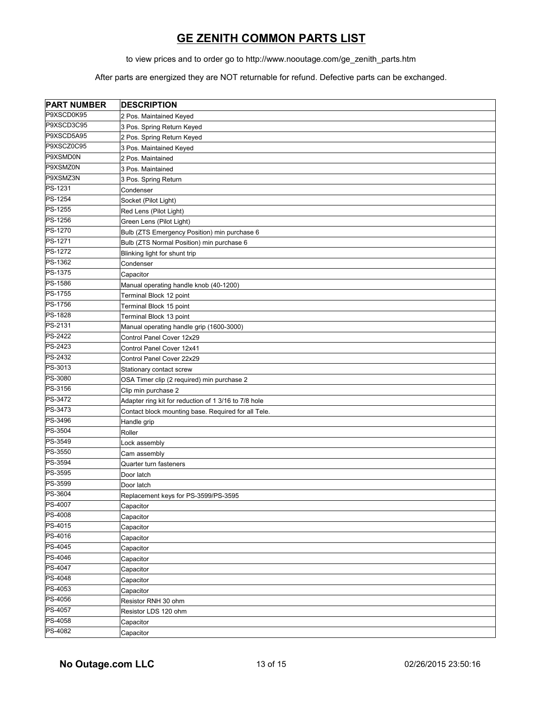to view prices and to order go to http://www.nooutage.com/ge\_zenith\_parts.htm

| <b>PART NUMBER</b> | <b>DESCRIPTION</b>                                   |
|--------------------|------------------------------------------------------|
| P9XSCD0K95         | 2 Pos. Maintained Keyed                              |
| P9XSCD3C95         | 3 Pos. Spring Return Keyed                           |
| P9XSCD5A95         | 2 Pos. Spring Return Keyed                           |
| P9XSCZ0C95         | 3 Pos. Maintained Keyed                              |
| P9XSMD0N           | 2 Pos. Maintained                                    |
| P9XSMZ0N           | 3 Pos. Maintained                                    |
| P9XSMZ3N           | 3 Pos. Spring Return                                 |
| PS-1231            | Condenser                                            |
| PS-1254            | Socket (Pilot Light)                                 |
| PS-1255            | Red Lens (Pilot Light)                               |
| PS-1256            | Green Lens (Pilot Light)                             |
| PS-1270            | Bulb (ZTS Emergency Position) min purchase 6         |
| PS-1271            | Bulb (ZTS Normal Position) min purchase 6            |
| PS-1272            | Blinking light for shunt trip                        |
| PS-1362            | Condenser                                            |
| PS-1375            | Capacitor                                            |
| PS-1586            | Manual operating handle knob (40-1200)               |
| PS-1755            | Terminal Block 12 point                              |
| PS-1756            | Terminal Block 15 point                              |
| PS-1828            | Terminal Block 13 point                              |
| PS-2131            | Manual operating handle grip (1600-3000)             |
| PS-2422            | Control Panel Cover 12x29                            |
| PS-2423            | Control Panel Cover 12x41                            |
| PS-2432            | Control Panel Cover 22x29                            |
| PS-3013            | Stationary contact screw                             |
| PS-3080            | OSA Timer clip (2 required) min purchase 2           |
| PS-3156            | Clip min purchase 2                                  |
| PS-3472            | Adapter ring kit for reduction of 1 3/16 to 7/8 hole |
| PS-3473            | Contact block mounting base. Required for all Tele.  |
| PS-3496            | Handle grip                                          |
| PS-3504            | Roller                                               |
| PS-3549            | Lock assembly                                        |
| PS-3550            | Cam assembly                                         |
| PS-3594            | Quarter turn fasteners                               |
| PS-3595            | Door latch                                           |
| PS-3599            | Door latch                                           |
| PS-3604            | Replacement keys for PS-3599/PS-3595                 |
| PS-4007            | Capacitor                                            |
| PS-4008            | Capacitor                                            |
| PS-4015            | Capacitor                                            |
| PS-4016            | Capacitor                                            |
| PS-4045            | Capacitor                                            |
| PS-4046            | Capacitor                                            |
| PS-4047            | Capacitor                                            |
| PS-4048            | Capacitor                                            |
| PS-4053            | Capacitor                                            |
| PS-4056            | Resistor RNH 30 ohm                                  |
| PS-4057            | Resistor LDS 120 ohm                                 |
| PS-4058            | Capacitor                                            |
| PS-4082            | Capacitor                                            |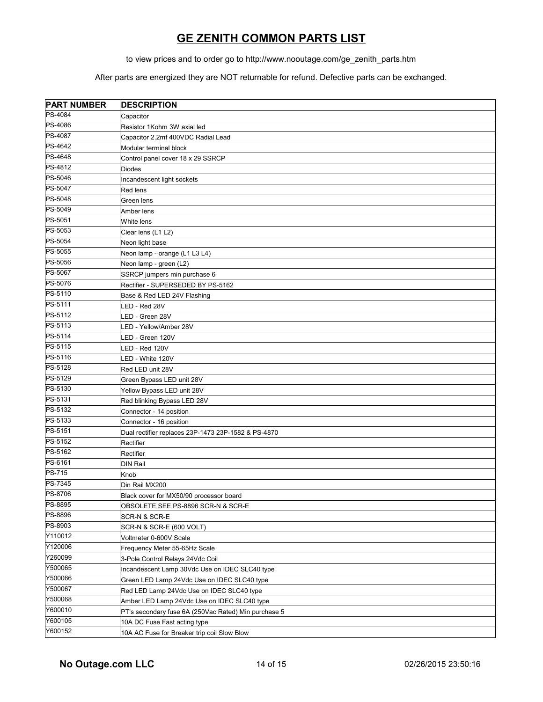to view prices and to order go to http://www.nooutage.com/ge\_zenith\_parts.htm

| <b>PART NUMBER</b> | <b>DESCRIPTION</b>                                   |
|--------------------|------------------------------------------------------|
| PS-4084            | Capacitor                                            |
| PS-4086            | Resistor 1Kohm 3W axial led                          |
| <b>PS-4087</b>     | Capacitor 2.2mf 400VDC Radial Lead                   |
| PS-4642            | Modular terminal block                               |
| PS-4648            | Control panel cover 18 x 29 SSRCP                    |
| PS-4812            | <b>Diodes</b>                                        |
| PS-5046            | Incandescent light sockets                           |
| PS-5047            | Red lens                                             |
| PS-5048            | Green lens                                           |
| PS-5049            | Amber lens                                           |
| PS-5051            | White lens                                           |
| PS-5053            | Clear lens (L1 L2)                                   |
| PS-5054            | Neon light base                                      |
| PS-5055            | Neon lamp - orange (L1 L3 L4)                        |
| PS-5056            | Neon lamp - green (L2)                               |
| PS-5067            | SSRCP jumpers min purchase 6                         |
| PS-5076            | Rectifier - SUPERSEDED BY PS-5162                    |
| PS-5110            | Base & Red LED 24V Flashing                          |
| PS-5111            | LED - Red 28V                                        |
| PS-5112            | LED - Green 28V                                      |
| PS-5113            | LED - Yellow/Amber 28V                               |
| PS-5114            | LED - Green 120V                                     |
| PS-5115            | LED - Red 120V                                       |
| PS-5116            | LED - White 120V                                     |
| PS-5128            | Red LED unit 28V                                     |
| PS-5129            | Green Bypass LED unit 28V                            |
| PS-5130            | Yellow Bypass LED unit 28V                           |
| PS-5131            | Red blinking Bypass LED 28V                          |
| PS-5132            | Connector - 14 position                              |
| PS-5133            | Connector - 16 position                              |
| PS-5151            | Dual rectifier replaces 23P-1473 23P-1582 & PS-4870  |
| PS-5152            | Rectifier                                            |
| PS-5162            | Rectifier                                            |
| PS-6161            | <b>DIN Rail</b>                                      |
| <b>PS-715</b>      | Knob                                                 |
| PS-7345            | Din Rail MX200                                       |
| PS-8706            | Black cover for MX50/90 processor board              |
| PS-8895            | OBSOLETE SEE PS-8896 SCR-N & SCR-E                   |
| PS-8896            | SCR-N & SCR-E                                        |
| PS-8903            | SCR-N & SCR-E (600 VOLT)                             |
| Y110012            | Voltmeter 0-600V Scale                               |
| Y120006            | Frequency Meter 55-65Hz Scale                        |
| Y260099            | 3-Pole Control Relays 24Vdc Coil                     |
| Y500065            | Incandescent Lamp 30Vdc Use on IDEC SLC40 type       |
| Y500066            | Green LED Lamp 24Vdc Use on IDEC SLC40 type          |
| Y500067            | Red LED Lamp 24Vdc Use on IDEC SLC40 type            |
| Y500068            | Amber LED Lamp 24Vdc Use on IDEC SLC40 type          |
| Y600010            | PT's secondary fuse 6A (250Vac Rated) Min purchase 5 |
| Y600105            | 10A DC Fuse Fast acting type                         |
| Y600152            | 10A AC Fuse for Breaker trip coil Slow Blow          |